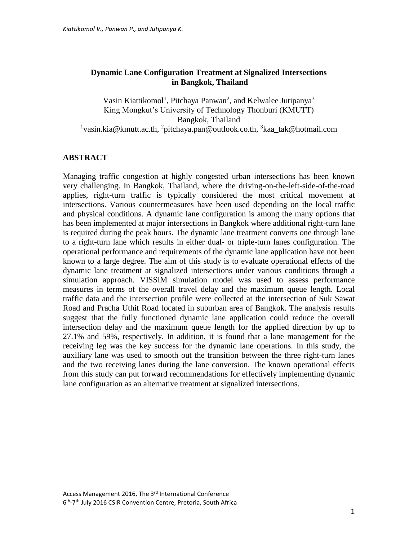### **Dynamic Lane Configuration Treatment at Signalized Intersections in Bangkok, Thailand**

Vasin Kiattikomol<sup>1</sup>, Pitchaya Panwan<sup>2</sup>, and Kelwalee Jutipanya<sup>3</sup> King Mongkut's University of Technology Thonburi (KMUTT) Bangkok, Thailand <sup>1</sup>vasin.kia@kmutt.ac.th, <sup>2</sup>pitchaya.pan@outlook.co.th, <sup>3</sup>kaa\_tak@hotmail.com

### **ABSTRACT**

Managing traffic congestion at highly congested urban intersections has been known very challenging. In Bangkok, Thailand, where the driving-on-the-left-side-of-the-road applies, right-turn traffic is typically considered the most critical movement at intersections. Various countermeasures have been used depending on the local traffic and physical conditions. A dynamic lane configuration is among the many options that has been implemented at major intersections in Bangkok where additional right-turn lane is required during the peak hours. The dynamic lane treatment converts one through lane to a right-turn lane which results in either dual- or triple-turn lanes configuration. The operational performance and requirements of the dynamic lane application have not been known to a large degree. The aim of this study is to evaluate operational effects of the dynamic lane treatment at signalized intersections under various conditions through a simulation approach. VISSIM simulation model was used to assess performance measures in terms of the overall travel delay and the maximum queue length. Local traffic data and the intersection profile were collected at the intersection of Suk Sawat Road and Pracha Uthit Road located in suburban area of Bangkok. The analysis results suggest that the fully functioned dynamic lane application could reduce the overall intersection delay and the maximum queue length for the applied direction by up to 27.1% and 59%, respectively. In addition, it is found that a lane management for the receiving leg was the key success for the dynamic lane operations. In this study, the auxiliary lane was used to smooth out the transition between the three right-turn lanes and the two receiving lanes during the lane conversion. The known operational effects from this study can put forward recommendations for effectively implementing dynamic lane configuration as an alternative treatment at signalized intersections.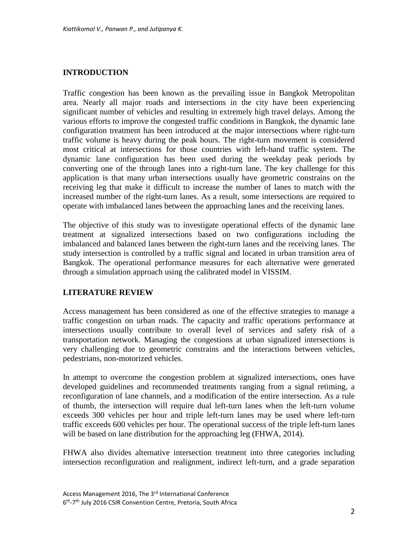### **INTRODUCTION**

Traffic congestion has been known as the prevailing issue in Bangkok Metropolitan area. Nearly all major roads and intersections in the city have been experiencing significant number of vehicles and resulting in extremely high travel delays. Among the various efforts to improve the congested traffic conditions in Bangkok, the dynamic lane configuration treatment has been introduced at the major intersections where right-turn traffic volume is heavy during the peak hours. The right-turn movement is considered most critical at intersections for those countries with left-hand traffic system. The dynamic lane configuration has been used during the weekday peak periods by converting one of the through lanes into a right-turn lane. The key challenge for this application is that many urban intersections usually have geometric constrains on the receiving leg that make it difficult to increase the number of lanes to match with the increased number of the right-turn lanes. As a result, some intersections are required to operate with imbalanced lanes between the approaching lanes and the receiving lanes.

The objective of this study was to investigate operational effects of the dynamic lane treatment at signalized intersections based on two configurations including the imbalanced and balanced lanes between the right-turn lanes and the receiving lanes. The study intersection is controlled by a traffic signal and located in urban transition area of Bangkok. The operational performance measures for each alternative were generated through a simulation approach using the calibrated model in VISSIM.

### **LITERATURE REVIEW**

Access management has been considered as one of the effective strategies to manage a traffic congestion on urban roads. The capacity and traffic operations performance at intersections usually contribute to overall level of services and safety risk of a transportation network. Managing the congestions at urban signalized intersections is very challenging due to geometric constrains and the interactions between vehicles, pedestrians, non-motorized vehicles.

In attempt to overcome the congestion problem at signalized intersections, ones have developed guidelines and recommended treatments ranging from a signal retiming, a reconfiguration of lane channels, and a modification of the entire intersection. As a rule of thumb, the intersection will require dual left-turn lanes when the left-turn volume exceeds 300 vehicles per hour and triple left-turn lanes may be used where left-turn traffic exceeds 600 vehicles per hour. The operational success of the triple left-turn lanes will be based on lane distribution for the approaching leg (FHWA, 2014).

FHWA also divides alternative intersection treatment into three categories including intersection reconfiguration and realignment, indirect left-turn, and a grade separation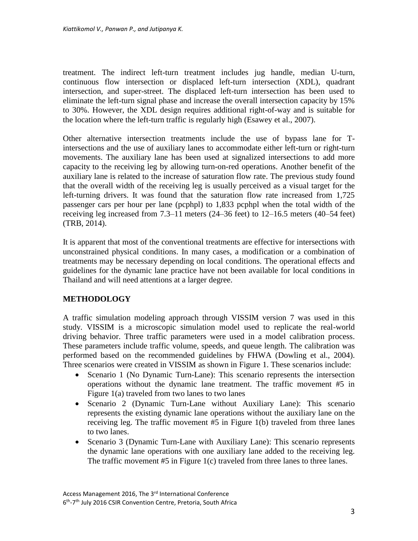treatment. The indirect left-turn treatment includes jug handle, median U-turn, continuous flow intersection or displaced left-turn intersection (XDL), quadrant intersection, and super-street. The displaced left-turn intersection has been used to eliminate the left-turn signal phase and increase the overall intersection capacity by 15% to 30%. However, the XDL design requires additional right-of-way and is suitable for the location where the left-turn traffic is regularly high (Esawey et al., 2007).

Other alternative intersection treatments include the use of bypass lane for Tintersections and the use of auxiliary lanes to accommodate either left-turn or right-turn movements. The auxiliary lane has been used at signalized intersections to add more capacity to the receiving leg by allowing turn-on-red operations. Another benefit of the auxiliary lane is related to the increase of saturation flow rate. The previous study found that the overall width of the receiving leg is usually perceived as a visual target for the left-turning drivers. It was found that the saturation flow rate increased from 1,725 passenger cars per hour per lane (pcphpl) to 1,833 pcphpl when the total width of the receiving leg increased from 7.3–11 meters (24–36 feet) to 12–16.5 meters (40–54 feet) (TRB, 2014).

It is apparent that most of the conventional treatments are effective for intersections with unconstrained physical conditions. In many cases, a modification or a combination of treatments may be necessary depending on local conditions. The operational effects and guidelines for the dynamic lane practice have not been available for local conditions in Thailand and will need attentions at a larger degree.

## **METHODOLOGY**

A traffic simulation modeling approach through VISSIM version 7 was used in this study. VISSIM is a microscopic simulation model used to replicate the real-world driving behavior. Three traffic parameters were used in a model calibration process. These parameters include traffic volume, speeds, and queue length. The calibration was performed based on the recommended guidelines by FHWA (Dowling et al., 2004). Three scenarios were created in VISSIM as shown in Figure 1. These scenarios include:

- Scenario 1 (No Dynamic Turn-Lane): This scenario represents the intersection operations without the dynamic lane treatment. The traffic movement #5 in Figure 1(a) traveled from two lanes to two lanes
- Scenario 2 (Dynamic Turn-Lane without Auxiliary Lane): This scenario represents the existing dynamic lane operations without the auxiliary lane on the receiving leg. The traffic movement #5 in Figure 1(b) traveled from three lanes to two lanes.
- Scenario 3 (Dynamic Turn-Lane with Auxiliary Lane): This scenario represents the dynamic lane operations with one auxiliary lane added to the receiving leg. The traffic movement #5 in Figure 1(c) traveled from three lanes to three lanes.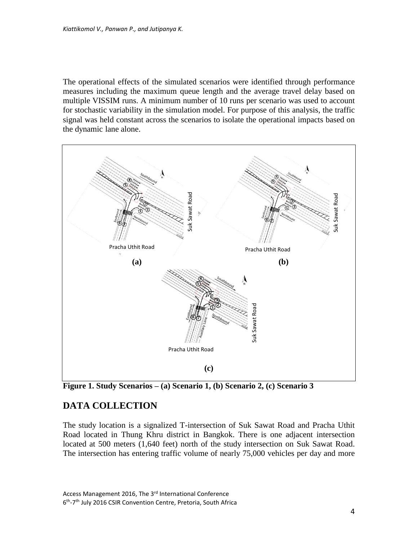The operational effects of the simulated scenarios were identified through performance measures including the maximum queue length and the average travel delay based on multiple VISSIM runs. A minimum number of 10 runs per scenario was used to account for stochastic variability in the simulation model. For purpose of this analysis, the traffic signal was held constant across the scenarios to isolate the operational impacts based on the dynamic lane alone.



**Figure 1. Study Scenarios – (a) Scenario 1, (b) Scenario 2, (c) Scenario 3**

# **DATA COLLECTION**

The study location is a signalized T-intersection of Suk Sawat Road and Pracha Uthit Road located in Thung Khru district in Bangkok. There is one adjacent intersection located at 500 meters (1,640 feet) north of the study intersection on Suk Sawat Road. The intersection has entering traffic volume of nearly 75,000 vehicles per day and more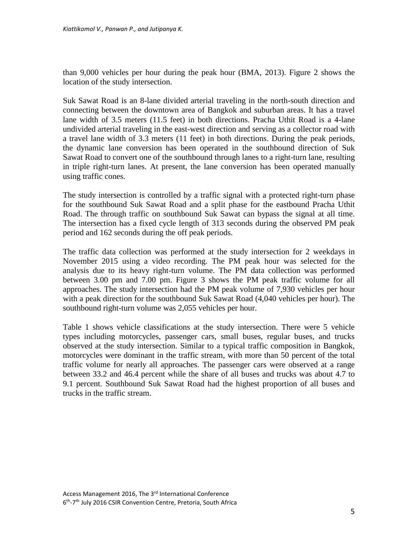than 9,000 vehicles per hour during the peak hour (BMA, 2013). Figure 2 shows the location of the study intersection.

Suk Sawat Road is an 8-lane divided arterial traveling in the north-south direction and connecting between the downtown area of Bangkok and suburban areas. It has a travel lane width of 3.5 meters (11.5 feet) in both directions. Pracha Uthit Road is a 4-lane undivided arterial traveling in the east-west direction and serving as a collector road with a travel lane width of 3.3 meters (11 feet) in both directions. During the peak periods, the dynamic lane conversion has been operated in the southbound direction of Suk Sawat Road to convert one of the southbound through lanes to a right-turn lane, resulting in triple right-turn lanes. At present, the lane conversion has been operated manually using traffic cones.

The study intersection is controlled by a traffic signal with a protected right-turn phase for the southbound Suk Sawat Road and a split phase for the eastbound Pracha Uthit Road. The through traffic on southbound Suk Sawat can bypass the signal at all time. The intersection has a fixed cycle length of 313 seconds during the observed PM peak period and 162 seconds during the off peak periods.

The traffic data collection was performed at the study intersection for 2 weekdays in November 2015 using a video recording. The PM peak hour was selected for the analysis due to its heavy right-turn volume. The PM data collection was performed between 3.00 pm and 7.00 pm. Figure 3 shows the PM peak traffic volume for all approaches. The study intersection had the PM peak volume of 7,930 vehicles per hour with a peak direction for the southbound Suk Sawat Road (4,040 vehicles per hour). The southbound right-turn volume was 2,055 vehicles per hour.

Table 1 shows vehicle classifications at the study intersection. There were 5 vehicle types including motorcycles, passenger cars, small buses, regular buses, and trucks observed at the study intersection. Similar to a typical traffic composition in Bangkok, motorcycles were dominant in the traffic stream, with more than 50 percent of the total traffic volume for nearly all approaches. The passenger cars were observed at a range between 33.2 and 46.4 percent while the share of all buses and trucks was about 4.7 to 9.1 percent. Southbound Suk Sawat Road had the highest proportion of all buses and trucks in the traffic stream.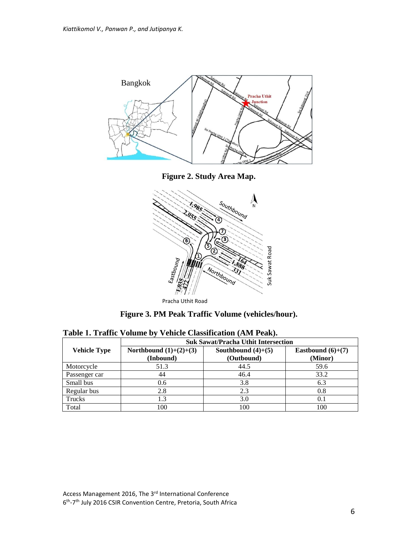



Pracha Uthit Road

**Figure 3. PM Peak Traffic Volume (vehicles/hour).**

|                     | <b>Suk Sawat/Pracha Uthit Intersection</b> |                                    |                                |  |  |
|---------------------|--------------------------------------------|------------------------------------|--------------------------------|--|--|
| <b>Vehicle Type</b> | Northbound $(1)+(2)+(3)$<br>(Inbound)      | Southbound $(4)+(5)$<br>(Outbound) | Eastbound $(6)+(7)$<br>(Minor) |  |  |
| Motorcycle          | 51.3                                       | 44.5                               | 59.6                           |  |  |
| Passenger car       | 44                                         | 46.4                               | 33.2                           |  |  |
| Small bus           | 0.6                                        | 3.8                                | 6.3                            |  |  |
| Regular bus         | 2.8                                        | 2.3                                | 0.8                            |  |  |
| Trucks              |                                            | 3.0                                | 0.1                            |  |  |
| Total               | 100                                        | 100                                | 100                            |  |  |

**Table 1. Traffic Volume by Vehicle Classification (AM Peak).**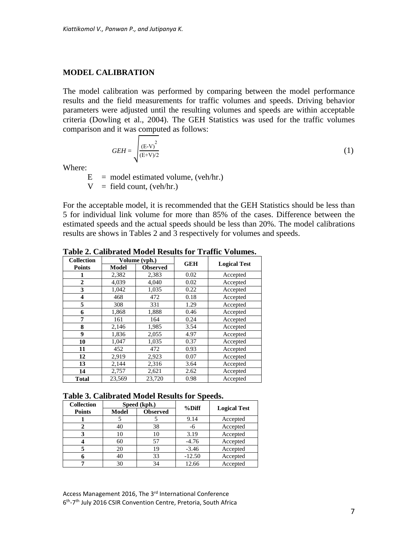#### **MODEL CALIBRATION**

The model calibration was performed by comparing between the model performance results and the field measurements for traffic volumes and speeds. Driving behavior parameters were adjusted until the resulting volumes and speeds are within acceptable criteria (Dowling et al., 2004). The GEH Statistics was used for the traffic volumes comparison and it was computed as follows:

$$
GEH = \sqrt{\frac{\left(\mathbf{E} \cdot \mathbf{V}\right)^2}{\left(\mathbf{E} + \mathbf{V}\right)/2}}\tag{1}
$$

Where:

 $E$  = model estimated volume, (veh/hr.)  $V =$  field count, (veh/hr.)

For the acceptable model, it is recommended that the GEH Statistics should be less than 5 for individual link volume for more than 85% of the cases. Difference between the estimated speeds and the actual speeds should be less than 20%. The model calibrations results are shows in Tables 2 and 3 respectively for volumes and speeds.

| <b>Collection</b>       |        | Volume (vph.)   | <b>GEH</b> | <b>Logical Test</b> |  |
|-------------------------|--------|-----------------|------------|---------------------|--|
| <b>Points</b>           | Model  | <b>Observed</b> |            |                     |  |
| 1                       | 2,382  | 2,383           | 0.02       | Accepted            |  |
| $\overline{2}$          | 4,039  | 4,040           | 0.02       | Accepted            |  |
| 3                       | 1,042  | 1,035           | 0.22       | Accepted            |  |
| $\overline{\mathbf{4}}$ | 468    | 472             | 0.18       | Accepted            |  |
| 5                       | 308    | 331             | 1.29       | Accepted            |  |
| 6                       | 1,868  | 1,888           | 0.46       | Accepted            |  |
| 7                       | 161    | 164             | 0.24       | Accepted            |  |
| 8                       | 2,146  | 1,985           | 3.54       | Accepted            |  |
| $\boldsymbol{9}$        | 1,836  | 2,055           | 4.97       | Accepted            |  |
| 10                      | 1,047  | 1,035           | 0.37       | Accepted            |  |
| 11                      | 452    | 472             | 0.93       | Accepted            |  |
| 12                      | 2,919  | 2,923           | 0.07       | Accepted            |  |
| 13                      | 2,144  | 2,316           | 3.64       | Accepted            |  |
| 14                      | 2,757  | 2,621           | 2.62       | Accepted            |  |
| <b>Total</b>            | 23,569 | 23,720          | 0.98       | Accepted            |  |

**Table 2. Calibrated Model Results for Traffic Volumes.**

#### **Table 3. Calibrated Model Results for Speeds.**

| <b>Collection</b> |              | Speed (kph.)    |          |                     |  |
|-------------------|--------------|-----------------|----------|---------------------|--|
| <b>Points</b>     | <b>Model</b> | <b>Observed</b> | $%$ Diff | <b>Logical Test</b> |  |
|                   |              |                 | 9.14     | Accepted            |  |
|                   | 40           | 38              | -6       | Accepted            |  |
|                   | 10           | 10              | 3.19     | Accepted            |  |
|                   | 60           | 57              | $-4.76$  | Accepted            |  |
|                   | 20           | 19              | $-3.46$  | Accepted            |  |
|                   | 40           | 33              | $-12.50$ | Accepted            |  |
|                   | 30           | 34              | 12.66    | Accepted            |  |

Access Management 2016, The 3<sup>rd</sup> International Conference 6<sup>th</sup>-7<sup>th</sup> July 2016 CSIR Convention Centre, Pretoria, South Africa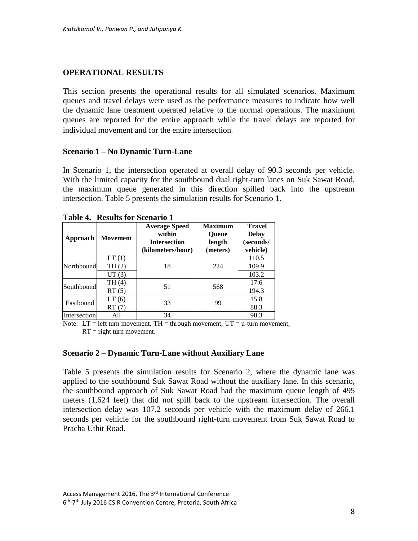## **OPERATIONAL RESULTS**

This section presents the operational results for all simulated scenarios. Maximum queues and travel delays were used as the performance measures to indicate how well the dynamic lane treatment operated relative to the normal operations. The maximum queues are reported for the entire approach while the travel delays are reported for individual movement and for the entire intersection**.**

### **Scenario 1 – No Dynamic Turn-Lane**

In Scenario 1, the intersection operated at overall delay of 90.3 seconds per vehicle. With the limited capacity for the southbound dual right-turn lanes on Suk Sawat Road, the maximum queue generated in this direction spilled back into the upstream intersection. Table 5 presents the simulation results for Scenario 1.

| Table 7. Thesules for Section to T |                 |                                                                            |                                                      |                                                        |  |
|------------------------------------|-----------------|----------------------------------------------------------------------------|------------------------------------------------------|--------------------------------------------------------|--|
| Approach                           | <b>Movement</b> | <b>Average Speed</b><br>within<br><b>Intersection</b><br>(kilometers/hour) | <b>Maximum</b><br><b>Queue</b><br>length<br>(meters) | <b>Travel</b><br><b>Delay</b><br>(seconds/<br>vehicle) |  |
| Northbound                         | LT(1)           | 18                                                                         | 224                                                  | 110.5                                                  |  |
|                                    | TH (2)          |                                                                            |                                                      | 109.9                                                  |  |
|                                    | UT(3)           |                                                                            |                                                      | 103.2                                                  |  |
| Southbound                         | TH(4)           | 51                                                                         | 568                                                  | 17.6                                                   |  |
|                                    | RT(5)           |                                                                            |                                                      | 194.3                                                  |  |
| Eastbound                          | LT(6)           | 33<br>99                                                                   |                                                      | 15.8                                                   |  |
|                                    | RT(7)           |                                                                            | 88.3                                                 |                                                        |  |
| Intersection                       |                 | 34                                                                         |                                                      | 90.3                                                   |  |

|  |  |  | <b>Table 4. Results for Scenario 1</b> |  |
|--|--|--|----------------------------------------|--|
|--|--|--|----------------------------------------|--|

Note:  $LT = left turn movement, TH = through movement, UT = u-turn movement,$  $RT =$  right turn movement.

### **Scenario 2 – Dynamic Turn-Lane without Auxiliary Lane**

Table 5 presents the simulation results for Scenario 2, where the dynamic lane was applied to the southbound Suk Sawat Road without the auxiliary lane. In this scenario, the southbound approach of Suk Sawat Road had the maximum queue length of 495 meters (1,624 feet) that did not spill back to the upstream intersection. The overall intersection delay was 107.2 seconds per vehicle with the maximum delay of 266.1 seconds per vehicle for the southbound right-turn movement from Suk Sawat Road to Pracha Uthit Road.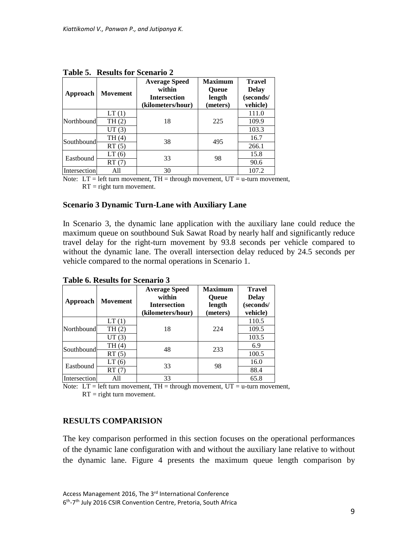| $\sim$       |          |                                                                            |                                                      |                                                        |  |
|--------------|----------|----------------------------------------------------------------------------|------------------------------------------------------|--------------------------------------------------------|--|
| Approach     | Movement | <b>Average Speed</b><br>within<br><b>Intersection</b><br>(kilometers/hour) | <b>Maximum</b><br><b>Oueue</b><br>length<br>(meters) | <b>Travel</b><br><b>Delay</b><br>(seconds/<br>vehicle) |  |
| Northbound   | LT(1)    | 18                                                                         | 225                                                  | 111.0                                                  |  |
|              | TH(2)    |                                                                            |                                                      | 109.9                                                  |  |
|              | UT(3)    |                                                                            |                                                      | 103.3                                                  |  |
| Southbound   | TH (4)   | 38                                                                         | 495                                                  | 16.7                                                   |  |
|              | RT(5)    |                                                                            |                                                      | 266.1                                                  |  |
| Eastbound    | LT(6)    | 33<br>98                                                                   |                                                      | 15.8                                                   |  |
|              | RT(7)    |                                                                            | 90.6                                                 |                                                        |  |
| Intersection | All      | 30                                                                         |                                                      | 107.2                                                  |  |

**Table 5. Results for Scenario 2**

Note:  $LT = left turn movement, TH = through movement, UT = u-turn movement,$  $RT =$  right turn movement.

### **Scenario 3 Dynamic Turn-Lane with Auxiliary Lane**

In Scenario 3, the dynamic lane application with the auxiliary lane could reduce the maximum queue on southbound Suk Sawat Road by nearly half and significantly reduce travel delay for the right-turn movement by 93.8 seconds per vehicle compared to without the dynamic lane. The overall intersection delay reduced by 24.5 seconds per vehicle compared to the normal operations in Scenario 1.

| Approach     | <b>Movement</b> | <b>Average Speed</b><br>within<br><b>Intersection</b><br>(kilometers/hour) | <b>Maximum</b><br><b>Oueue</b><br>length<br>(meters) | <b>Travel</b><br><b>Delay</b><br>(seconds/<br>vehicle) |
|--------------|-----------------|----------------------------------------------------------------------------|------------------------------------------------------|--------------------------------------------------------|
| Northbound   | LT(1)           | 18                                                                         | 224                                                  | 110.5                                                  |
|              | TH(2)           |                                                                            |                                                      | 109.5                                                  |
|              | UT(3)           |                                                                            |                                                      | 103.5                                                  |
| Southbound   | TH (4)          | 48                                                                         | 233                                                  | 6.9                                                    |
|              | RT(5)           |                                                                            |                                                      | 100.5                                                  |
| Eastbound    | LT(6)           | 33                                                                         | 98                                                   | 16.0                                                   |
|              | RT(7)           |                                                                            |                                                      | 88.4                                                   |
| Intersection | All             | 33                                                                         |                                                      | 65.8                                                   |

**Table 6. Results for Scenario 3**

Note:  $LT = left turn movement, TH = through movement, UT = u-turn movement,$  $RT =$  right turn movement.

## **RESULTS COMPARISION**

The key comparison performed in this section focuses on the operational performances of the dynamic lane configuration with and without the auxiliary lane relative to without the dynamic lane. Figure 4 presents the maximum queue length comparison by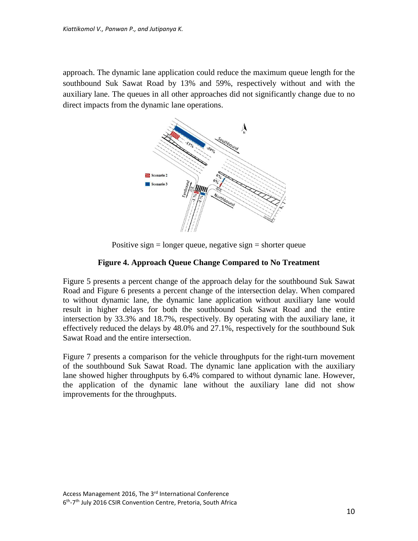approach. The dynamic lane application could reduce the maximum queue length for the southbound Suk Sawat Road by 13% and 59%, respectively without and with the auxiliary lane. The queues in all other approaches did not significantly change due to no direct impacts from the dynamic lane operations.



Positive sign  $=$  longer queue, negative sign  $=$  shorter queue

## **Figure 4. Approach Queue Change Compared to No Treatment**

Figure 5 presents a percent change of the approach delay for the southbound Suk Sawat Road and Figure 6 presents a percent change of the intersection delay. When compared to without dynamic lane, the dynamic lane application without auxiliary lane would result in higher delays for both the southbound Suk Sawat Road and the entire intersection by 33.3% and 18.7%, respectively. By operating with the auxiliary lane, it effectively reduced the delays by 48.0% and 27.1%, respectively for the southbound Suk Sawat Road and the entire intersection.

Figure 7 presents a comparison for the vehicle throughputs for the right-turn movement of the southbound Suk Sawat Road. The dynamic lane application with the auxiliary lane showed higher throughputs by 6.4% compared to without dynamic lane. However, the application of the dynamic lane without the auxiliary lane did not show improvements for the throughputs.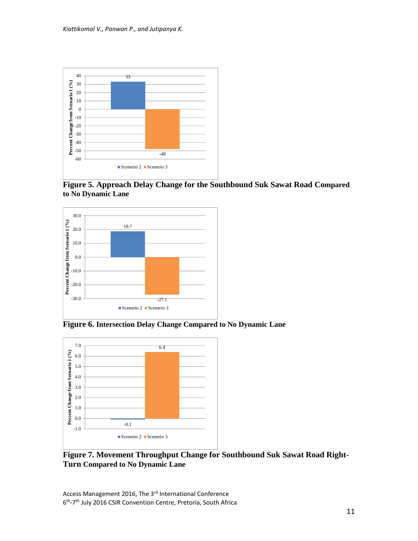

**Figure 5. Approach Delay Change for the Southbound Suk Sawat Road Compared to No Dynamic Lane**



**Figure 6. Intersection Delay Change Compared to No Dynamic Lane**



**Figure 7. Movement Throughput Change for Southbound Suk Sawat Road Right-Turn Compared to No Dynamic Lane**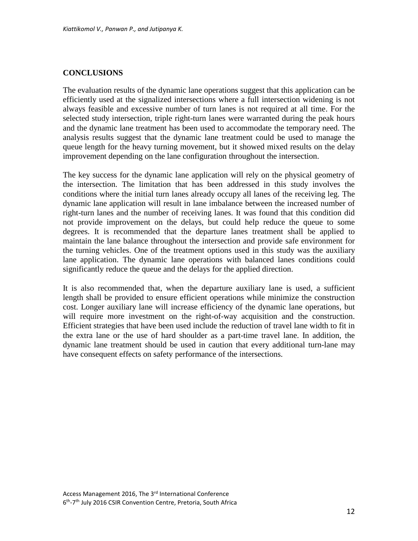#### **CONCLUSIONS**

The evaluation results of the dynamic lane operations suggest that this application can be efficiently used at the signalized intersections where a full intersection widening is not always feasible and excessive number of turn lanes is not required at all time. For the selected study intersection, triple right-turn lanes were warranted during the peak hours and the dynamic lane treatment has been used to accommodate the temporary need. The analysis results suggest that the dynamic lane treatment could be used to manage the queue length for the heavy turning movement, but it showed mixed results on the delay improvement depending on the lane configuration throughout the intersection.

The key success for the dynamic lane application will rely on the physical geometry of the intersection. The limitation that has been addressed in this study involves the conditions where the initial turn lanes already occupy all lanes of the receiving leg. The dynamic lane application will result in lane imbalance between the increased number of right-turn lanes and the number of receiving lanes. It was found that this condition did not provide improvement on the delays, but could help reduce the queue to some degrees. It is recommended that the departure lanes treatment shall be applied to maintain the lane balance throughout the intersection and provide safe environment for the turning vehicles. One of the treatment options used in this study was the auxiliary lane application. The dynamic lane operations with balanced lanes conditions could significantly reduce the queue and the delays for the applied direction.

It is also recommended that, when the departure auxiliary lane is used, a sufficient length shall be provided to ensure efficient operations while minimize the construction cost. Longer auxiliary lane will increase efficiency of the dynamic lane operations, but will require more investment on the right-of-way acquisition and the construction. Efficient strategies that have been used include the reduction of travel lane width to fit in the extra lane or the use of hard shoulder as a part-time travel lane. In addition, the dynamic lane treatment should be used in caution that every additional turn-lane may have consequent effects on safety performance of the intersections.